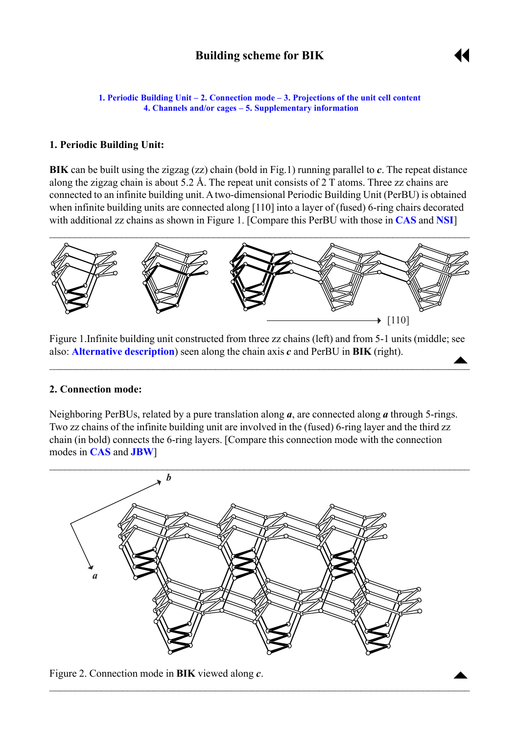# **Building scheme for BIK**



<span id="page-0-0"></span>**1. Periodic Building Unit – 2. Connection mode – [3. Projections of the unit cell](#page-1-0) content [4. Channels and/or cages](#page-1-0) ñ [5. Supplementary information](#page-1-0)**

#### **1. Periodic Building Unit:**

**BIK** can be built using the zigzag (zz) chain (bold in Fig.1) running parallel to *c*. The repeat distance along the zigzag chain is about 5.2 Å. The repeat unit consists of 2 T atoms. Three zz chains are connected to an infinite building unit. A two-dimensional Periodic Building Unit (PerBU) is obtained when infinite building units are connected along [110] into a layer of (fused) 6-ring chairs decorated with additional zz chains as shown in Figure 1. [Compare this PerBU with those in **[CAS](http://www.iza-structure.org/databases/ModelBuilding/CAS.pdf)** and **[NSI](http://www.iza-structure.org/databases/ModelBuilding/NSI.pdf)**]



Figure 1.Infinite building unit constructed from three zz chains (left) and from 5-1 units (middle; see also: **[Alternative description](#page-2-0)**) seen along the chain axis *c* and PerBU in **BIK** (right).  $\triangle$ 

 $\blacksquare$  . The contract of the contract of the contract of the contract of the contract of the contract of the contract of

#### **2. Connection mode:**

Neighboring PerBUs, related by a pure translation along *a*, are connected along *a* through 5-rings. Two zz chains of the infinite building unit are involved in the (fused) 6-ring layer and the third zz chain (in bold) connects the 6-ring layers. [Compare this connection mode with the connection modes in **[CAS](http://www.iza-structure.org/databases/ModelBuilding/CAS.pdf)** and **[JBW](http://www.iza-structure.org/databases/ModelBuilding/JBW.pdf)**]



 $\mathcal{L}_\mathcal{L} = \{ \mathcal{L}_\mathcal{L} = \{ \mathcal{L}_\mathcal{L} = \{ \mathcal{L}_\mathcal{L} = \{ \mathcal{L}_\mathcal{L} = \{ \mathcal{L}_\mathcal{L} = \{ \mathcal{L}_\mathcal{L} = \{ \mathcal{L}_\mathcal{L} = \{ \mathcal{L}_\mathcal{L} = \{ \mathcal{L}_\mathcal{L} = \{ \mathcal{L}_\mathcal{L} = \{ \mathcal{L}_\mathcal{L} = \{ \mathcal{L}_\mathcal{L} = \{ \mathcal{L}_\mathcal{L} = \{ \mathcal{L}_\mathcal{$ 

Figure 2. Connection mode in **BIK** viewed along  $c$ .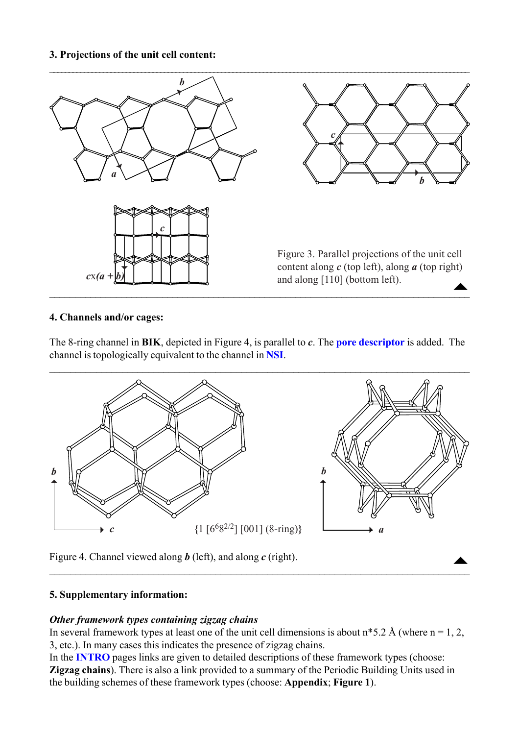#### <span id="page-1-0"></span>**3. Projections of the unit cell content:**



#### **4. Channels and/or cages:**

The 8-ring channel in **BIK**, depicted in Figure 4, is parallel to *c*. The **[pore descriptor](http://www.iza-structure.org/databases/ModelBuilding/Introduction.pdf)** is added. The channel is topologically equivalent to the channel in **[NSI](http://www.iza-structure.org/databases/ModelBuilding/NSI.pdf)**.



Figure 4. Channel viewed along *b* (left), and along *c* (right).

## **5. Supplementary information:**

## *Other framework types containing zigzag chains*

In several framework types at least one of the unit cell dimensions is about  $n*5.2$  Å (where  $n = 1, 2, \dots$ ) 3, etc.). In many cases this indicates the presence of zigzag chains.

 $\mathcal{L}_\mathcal{L} = \{ \mathcal{L}_\mathcal{L} = \{ \mathcal{L}_\mathcal{L} = \{ \mathcal{L}_\mathcal{L} = \{ \mathcal{L}_\mathcal{L} = \{ \mathcal{L}_\mathcal{L} = \{ \mathcal{L}_\mathcal{L} = \{ \mathcal{L}_\mathcal{L} = \{ \mathcal{L}_\mathcal{L} = \{ \mathcal{L}_\mathcal{L} = \{ \mathcal{L}_\mathcal{L} = \{ \mathcal{L}_\mathcal{L} = \{ \mathcal{L}_\mathcal{L} = \{ \mathcal{L}_\mathcal{L} = \{ \mathcal{L}_\mathcal{$ 

In the **[INTRO](http://www.iza-structure.org/databases/ModelBuilding/Introduction.pdf)** pages links are given to detailed descriptions of these framework types (choose: **Zigzag chains**). There is also a link provided to a summary of the Periodic Building Units used in the building schemes of these framework types (choose: **Appendix**; **Figure 1**).